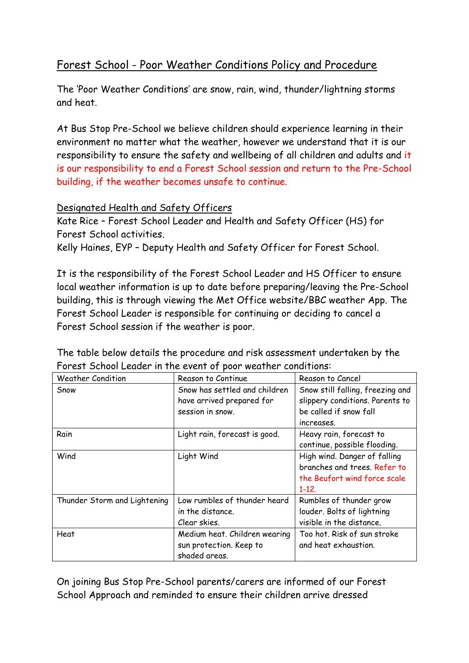## Forest School - Poor Weather Conditions Policy and Procedure

The 'Poor Weather Conditions' are snow, rain, wind, thunder/lightning storms and heat.

At Bus Stop Pre-School we believe children should experience learning in their environment no matter what the weather, however we understand that it is our responsibility to ensure the safety and wellbeing of all children and adults and it is our responsibility to end a Forest School session and return to the Pre-School building, if the weather becomes unsafe to continue.

## Designated Health and Safety Officers

Kate Rice – Forest School Leader and Health and Safety Officer (HS) for Forest School activities.

Kelly Haines, EYP – Deputy Health and Safety Officer for Forest School.

It is the responsibility of the Forest School Leader and HS Officer to ensure local weather information is up to date before preparing/leaving the Pre-School building, this is through viewing the Met Office website/BBC weather App. The Forest School Leader is responsible for continuing or deciding to cancel a Forest School session if the weather is poor.

The table below details the procedure and risk assessment undertaken by the Forest School Leader in the event of poor weather conditions:

| <b>Weather Condition</b>     | Reason to Continue            | Reason to Cancel                 |
|------------------------------|-------------------------------|----------------------------------|
| Snow                         | Snow has settled and children | Snow still falling, freezing and |
|                              | have arrived prepared for     | slippery conditions. Parents to  |
|                              | session in snow.              | be called if snow fall           |
|                              |                               | increases.                       |
| Rain                         | Light rain, forecast is good. | Heavy rain, forecast to          |
|                              |                               | continue, possible flooding.     |
| Wind                         | Light Wind                    | High wind. Danger of falling     |
|                              |                               | branches and trees. Refer to     |
|                              |                               | the Beufort wind force scale     |
|                              |                               | $1 - 12$ .                       |
| Thunder Storm and Lightening | Low rumbles of thunder heard  | Rumbles of thunder grow          |
|                              | in the distance.              | louder. Bolts of lightning       |
|                              | Clear skies.                  | visible in the distance.         |
| Heat                         | Medium heat. Children wearing | Too hot. Risk of sun stroke      |
|                              | sun protection. Keep to       | and heat exhaustion.             |
|                              | shaded areas.                 |                                  |

On joining Bus Stop Pre-School parents/carers are informed of our Forest School Approach and reminded to ensure their children arrive dressed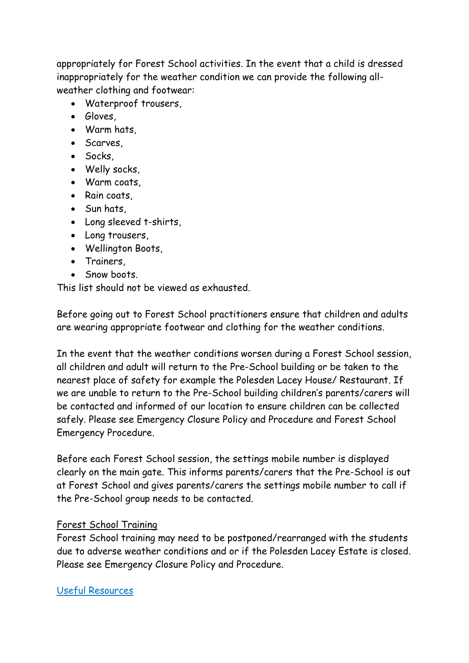appropriately for Forest School activities. In the event that a child is dressed inappropriately for the weather condition we can provide the following allweather clothing and footwear:

- Waterproof trousers,
- Gloves,
- Warm hats,
- Scarves
- Socks,
- Welly socks,
- Warm coats,
- Rain coats,
- Sun hats,
- Long sleeved t-shirts,
- Long trousers,
- Wellington Boots,
- Trainers,
- Snow boots.

This list should not be viewed as exhausted.

Before going out to Forest School practitioners ensure that children and adults are wearing appropriate footwear and clothing for the weather conditions.

In the event that the weather conditions worsen during a Forest School session, all children and adult will return to the Pre-School building or be taken to the nearest place of safety for example the Polesden Lacey House/ Restaurant. If we are unable to return to the Pre-School building children's parents/carers will be contacted and informed of our location to ensure children can be collected safely. Please see Emergency Closure Policy and Procedure and Forest School Emergency Procedure.

Before each Forest School session, the settings mobile number is displayed clearly on the main gate. This informs parents/carers that the Pre-School is out at Forest School and gives parents/carers the settings mobile number to call if the Pre-School group needs to be contacted.

## Forest School Training

Forest School training may need to be postponed/rearranged with the students due to adverse weather conditions and or if the Polesden Lacey Estate is closed. Please see Emergency Closure Policy and Procedure.

Useful Resources